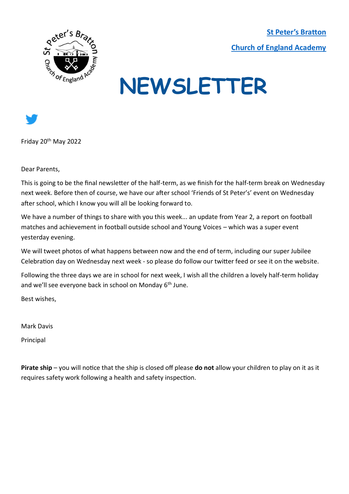**[St Peter's Bratton](https://www.brattonstpeters.org.uk/)  [Church of England Academy](https://www.brattonstpeters.org.uk/)**



# **NEWSLETTER**



Friday 20th May 2022

Dear Parents,

This is going to be the final newsletter of the half-term, as we finish for the half-term break on Wednesday next week. Before then of course, we have our after school 'Friends of St Peter's' event on Wednesday after school, which I know you will all be looking forward to.

We have a number of things to share with you this week... an update from Year 2, a report on football matches and achievement in football outside school and Young Voices – which was a super event yesterday evening.

We will tweet photos of what happens between now and the end of term, including our super Jubilee Celebration day on Wednesday next week - so please do follow our twitter feed or see it on the website.

Following the three days we are in school for next week, I wish all the children a lovely half-term holiday and we'll see everyone back in school on Monday 6<sup>th</sup> June.

Best wishes,

Mark Davis

Principal

**Pirate ship** – you will notice that the ship is closed off please **do not** allow your children to play on it as it requires safety work following a health and safety inspection.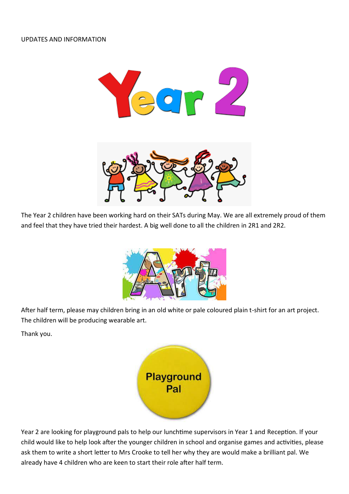



The Year 2 children have been working hard on their SATs during May. We are all extremely proud of them and feel that they have tried their hardest. A big well done to all the children in 2R1 and 2R2.



After half term, please may children bring in an old white or pale coloured plain t-shirt for an art project. The children will be producing wearable art.

Thank you.



Year 2 are looking for playground pals to help our lunchtime supervisors in Year 1 and Reception. If your child would like to help look after the younger children in school and organise games and activities, please ask them to write a short letter to Mrs Crooke to tell her why they are would make a brilliant pal. We already have 4 children who are keen to start their role after half term.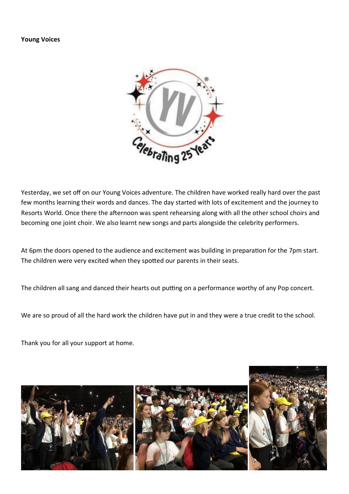

Yesterday, we set off on our Young Voices adventure. The children have worked really hard over the past few months learning their words and dances. The day started with lots of excitement and the journey to Resorts World. Once there the afternoon was spent rehearsing along with all the other school choirs and becoming one joint choir. We also learnt new songs and parts alongside the celebrity performers.

At 6pm the doors opened to the audience and excitement was building in preparation for the 7pm start. The children were very excited when they spotted our parents in their seats.

The children all sang and danced their hearts out putting on a performance worthy of any Pop concert.

We are so proud of all the hard work the children have put in and they were a true credit to the school.

Thank you for all your support at home.

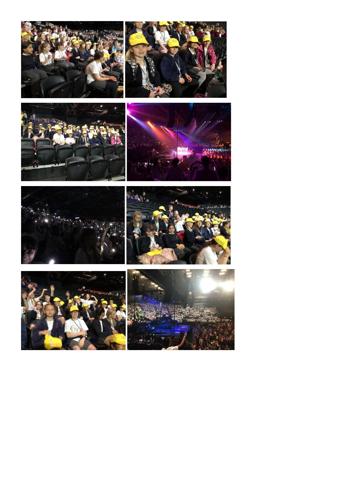







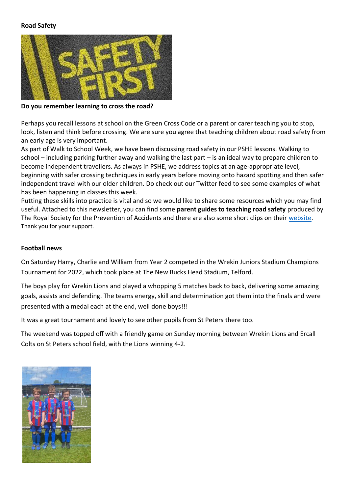#### **Road Safety**



**Do you remember learning to cross the road?**

Perhaps you recall lessons at school on the Green Cross Code or a parent or carer teaching you to stop, look, listen and think before crossing. We are sure you agree that teaching children about road safety from an early age is very important.

As part of Walk to School Week, we have been discussing road safety in our PSHE lessons. Walking to school – including parking further away and walking the last part – is an ideal way to prepare children to become independent travellers. As always in PSHE, we address topics at an age-appropriate level, beginning with safer crossing techniques in early years before moving onto hazard spotting and then safer independent travel with our older children. Do check out our Twitter feed to see some examples of what has been happening in classes this week.

Putting these skills into practice is vital and so we would like to share some resources which you may find useful. Attached to this newsletter, you can find some **parent guides to teaching road safety** produced by The Royal Society for the Prevention of Accidents and there are also some short clips on their [website.](https://www.rospa.com/road-safety/advice/pedestrians/children-road-safety) Thank you for your support.

#### **Football news**

On Saturday Harry, Charlie and William from Year 2 competed in the Wrekin Juniors Stadium Champions Tournament for 2022, which took place at The New Bucks Head Stadium, Telford.

The boys play for Wrekin Lions and played a whopping 5 matches back to back, delivering some amazing goals, assists and defending. The teams energy, skill and determination got them into the finals and were presented with a medal each at the end, well done boys!!!

It was a great tournament and lovely to see other pupils from St Peters there too.

The weekend was topped off with a friendly game on Sunday morning between Wrekin Lions and Ercall Colts on St Peters school field, with the Lions winning 4-2.

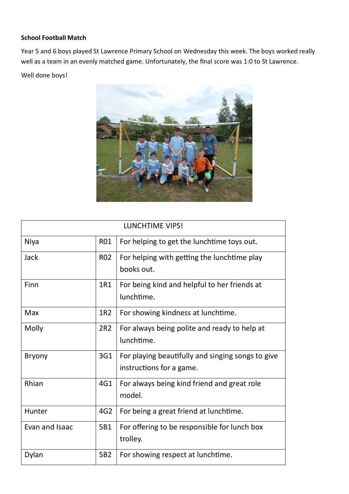## **School Football Match**

Year 5 and 6 boys played St Lawrence Primary School on Wednesday this week. The boys worked really well as a team in an evenly matched game. Unfortunately, the final score was 1:0 to St Lawrence.

Well done boys!



| <b>LUNCHTIME VIPS!</b> |                 |                                                                               |  |  |
|------------------------|-----------------|-------------------------------------------------------------------------------|--|--|
| Niya                   | <b>R01</b>      | For helping to get the lunchtime toys out.                                    |  |  |
| Jack                   | <b>RO2</b>      | For helping with getting the lunchtime play<br>books out.                     |  |  |
| Finn                   | 1R1             | For being kind and helpful to her friends at<br>lunchtime.                    |  |  |
| Max                    | 1 <sub>R2</sub> | For showing kindness at lunchtime.                                            |  |  |
| Molly                  | 2R2             | For always being polite and ready to help at<br>lunchtime.                    |  |  |
| <b>Bryony</b>          | 3G1             | For playing beautifully and singing songs to give<br>instructions for a game. |  |  |
| Rhian                  | 4G1             | For always being kind friend and great role<br>model.                         |  |  |
| Hunter                 | 4G2             | For being a great friend at lunchtime.                                        |  |  |
| Evan and Isaac         | 5B1             | For offering to be responsible for lunch box<br>trolley.                      |  |  |
| Dylan                  | 5B <sub>2</sub> | For showing respect at lunchtime.                                             |  |  |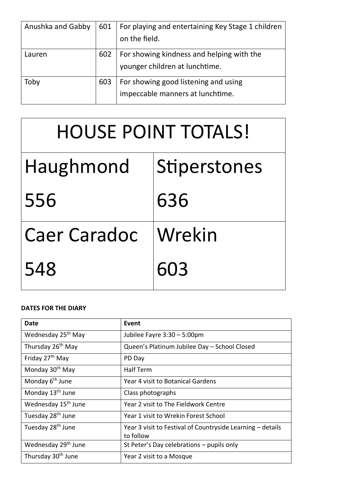| Anushka and Gabby | 601 | For playing and entertaining Key Stage 1 children |
|-------------------|-----|---------------------------------------------------|
|                   |     | on the field.                                     |
| Lauren            | 602 | For showing kindness and helping with the         |
|                   |     | younger children at lunchtime.                    |
| Toby              | 603 | For showing good listening and using              |
|                   |     | impeccable manners at lunchtime.                  |
|                   |     |                                                   |

# HOUSE POINT TOTALS! Haughmond 556 Stiperstones 636 Caer Caradoc 548 Wrekin 603

## **DATES FOR THE DIARY**

| Date                            | Event                                                                   |
|---------------------------------|-------------------------------------------------------------------------|
| Wednesday 25 <sup>th</sup> May  | Jubilee Fayre $3:30 - 5:00$ pm                                          |
| Thursday 26 <sup>th</sup> May   | Queen's Platinum Jubilee Day - School Closed                            |
| Friday 27 <sup>th</sup> May     | PD Day                                                                  |
| Monday 30 <sup>th</sup> May     | Half Term                                                               |
| Monday 6 <sup>th</sup> June     | Year 4 visit to Botanical Gardens                                       |
| Monday 13 <sup>th</sup> June    | Class photographs                                                       |
| Wednesday 15 <sup>th</sup> June | Year 2 visit to The Fieldwork Centre                                    |
| Tuesday 28 <sup>th</sup> June   | Year 1 visit to Wrekin Forest School                                    |
| Tuesday 28 <sup>th</sup> June   | Year 3 visit to Festival of Countryside Learning – details<br>to follow |
| Wednesday 29 <sup>th</sup> June | St Peter's Day celebrations - pupils only                               |
| Thursday 30 <sup>th</sup> June  | Year 2 visit to a Mosque                                                |